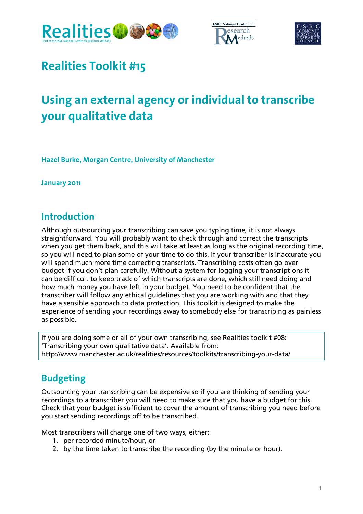





## **Realities Toolkit #15**

# **Using an external agency or individual to transcribe your qualitative data**

**Hazel Burke, Morgan Centre, University of Manchester** 

**January 2011** 

#### **Introduction**

Although outsourcing your transcribing can save you typing time, it is not always straightforward. You will probably want to check through and correct the transcripts when you get them back, and this will take at least as long as the original recording time, so you will need to plan some of your time to do this. If your transcriber is inaccurate you will spend much more time correcting transcripts. Transcribing costs often go over budget if you don't plan carefully. Without a system for logging your transcriptions it can be difficult to keep track of which transcripts are done, which still need doing and how much money you have left in your budget. You need to be confident that the transcriber will follow any ethical guidelines that you are working with and that they have a sensible approach to data protection. This toolkit is designed to make the experience of sending your recordings away to somebody else for transcribing as painless as possible.

If you are doing some or all of your own transcribing, see Realities toolkit #08: 'Transcribing your own qualitative data'. Available from: http://www.manchester.ac.uk/realities/resources/toolkits/transcribing-your-data/

### **Budgeting**

Outsourcing your transcribing can be expensive so if you are thinking of sending your recordings to a transcriber you will need to make sure that you have a budget for this. Check that your budget is sufficient to cover the amount of transcribing you need before you start sending recordings off to be transcribed.

Most transcribers will charge one of two ways, either:

- 1. per recorded minute/hour, or
- 2. by the time taken to transcribe the recording (by the minute or hour).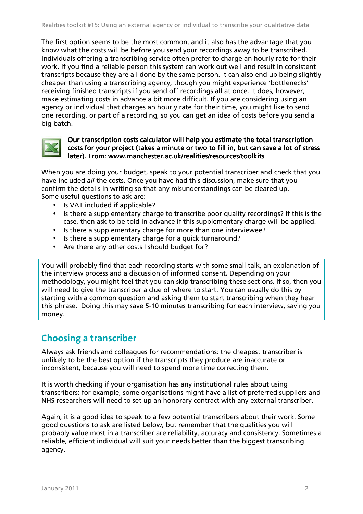The first option seems to be the most common, and it also has the advantage that you know what the costs will be before you send your recordings away to be transcribed. Individuals offering a transcribing service often prefer to charge an hourly rate for their work. If you find a reliable person this system can work out well and result in consistent transcripts because they are all done by the same person. It can also end up being slightly cheaper than using a transcribing agency, though you might experience 'bottlenecks' receiving finished transcripts if you send off recordings all at once. It does, however, make estimating costs in advance a bit more difficult. If you are considering using an agency or individual that charges an hourly rate for their time, you might like to send one recording, or part of a recording, so you can get an idea of costs before you send a big batch.



#### Our transcription costs calculator will help you estimate the total transcription costs for your project (takes a minute or two to fill in, but can save a lot of stress later). From: www.manchester.ac.uk/realities/resources/toolkits

When you are doing your budget, speak to your potential transcriber and check that you have included all the costs. Once you have had this discussion, make sure that you confirm the details in writing so that any misunderstandings can be cleared up. Some useful questions to ask are:

- Is VAT included if applicable?
- Is there a supplementary charge to transcribe poor quality recordings? If this is the case, then ask to be told in advance if this supplementary charge will be applied.
- Is there a supplementary charge for more than one interviewee?
- Is there a supplementary charge for a quick turnaround?
- Are there any other costs I should budget for?

You will probably find that each recording starts with some small talk, an explanation of the interview process and a discussion of informed consent. Depending on your methodology, you might feel that you can skip transcribing these sections. If so, then you will need to give the transcriber a clue of where to start. You can usually do this by starting with a common question and asking them to start transcribing when they hear this phrase. Doing this may save 5-10 minutes transcribing for each interview, saving you money.

#### **Choosing a transcriber**

Always ask friends and colleagues for recommendations: the cheapest transcriber is unlikely to be the best option if the transcripts they produce are inaccurate or inconsistent, because you will need to spend more time correcting them.

It is worth checking if your organisation has any institutional rules about using transcribers: for example, some organisations might have a list of preferred suppliers and NHS researchers will need to set up an honorary contract with any external transcriber.

Again, it is a good idea to speak to a few potential transcribers about their work. Some good questions to ask are listed below, but remember that the qualities you will probably value most in a transcriber are reliability, accuracy and consistency. Sometimes a reliable, efficient individual will suit your needs better than the biggest transcribing agency.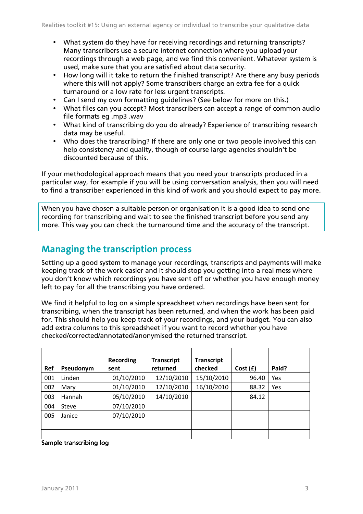- What system do they have for receiving recordings and returning transcripts? Many transcribers use a secure internet connection where you upload your recordings through a web page, and we find this convenient. Whatever system is used, make sure that you are satisfied about data security.
- How long will it take to return the finished transcript? Are there any busy periods where this will not apply? Some transcribers charge an extra fee for a quick turnaround or a low rate for less urgent transcripts.
- Can I send my own formatting quidelines? (See below for more on this.)
- What files can you accept? Most transcribers can accept a range of common audio file formats eg .mp3 .wav
- What kind of transcribing do you do already? Experience of transcribing research data may be useful.
- Who does the transcribing? If there are only one or two people involved this can help consistency and quality, though of course large agencies shouldn't be discounted because of this.

If your methodological approach means that you need your transcripts produced in a particular way, for example if you will be using conversation analysis, then you will need to find a transcriber experienced in this kind of work and you should expect to pay more.

When you have chosen a suitable person or organisation it is a good idea to send one recording for transcribing and wait to see the finished transcript before you send any more. This way you can check the turnaround time and the accuracy of the transcript.

#### **Managing the transcription process**

Setting up a good system to manage your recordings, transcripts and payments will make keeping track of the work easier and it should stop you getting into a real mess where you don't know which recordings you have sent off or whether you have enough money left to pay for all the transcribing you have ordered.

We find it helpful to log on a simple spreadsheet when recordings have been sent for transcribing, when the transcript has been returned, and when the work has been paid for. This should help you keep track of your recordings, and your budget. You can also add extra columns to this spreadsheet if you want to record whether you have checked/corrected/annotated/anonymised the returned transcript.

| Ref | Pseudonym | Recording<br>sent | <b>Transcript</b><br>returned | <b>Transcript</b><br>checked | Cost(f) | Paid? |
|-----|-----------|-------------------|-------------------------------|------------------------------|---------|-------|
| 001 | Linden    | 01/10/2010        | 12/10/2010                    | 15/10/2010                   | 96.40   | Yes   |
| 002 | Mary      | 01/10/2010        | 12/10/2010                    | 16/10/2010                   | 88.32   | Yes   |
| 003 | Hannah    | 05/10/2010        | 14/10/2010                    |                              | 84.12   |       |
| 004 | Steve     | 07/10/2010        |                               |                              |         |       |
| 005 | Janice    | 07/10/2010        |                               |                              |         |       |
|     |           |                   |                               |                              |         |       |
|     |           |                   |                               |                              |         |       |

Sample transcribing log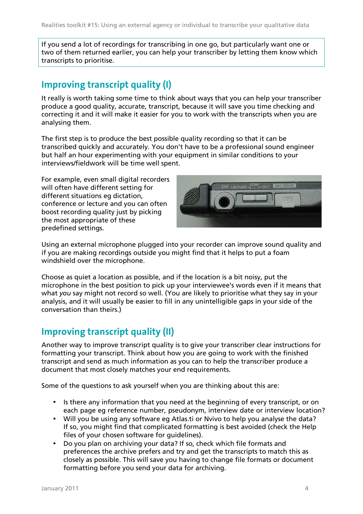If you send a lot of recordings for transcribing in one go, but particularly want one or two of them returned earlier, you can help your transcriber by letting them know which transcripts to prioritise.

#### **Improving transcript quality (I)**

It really is worth taking some time to think about ways that you can help your transcriber produce a good quality, accurate, transcript, because it will save you time checking and correcting it and it will make it easier for you to work with the transcripts when you are analysing them.

The first step is to produce the best possible quality recording so that it can be transcribed quickly and accurately. You don't have to be a professional sound engineer but half an hour experimenting with your equipment in similar conditions to your interviews/fieldwork will be time well spent.

For example, even small digital recorders will often have different setting for different situations eg dictation, conference or lecture and you can often boost recording quality just by picking the most appropriate of these predefined settings.



Using an external microphone plugged into your recorder can improve sound quality and if you are making recordings outside you might find that it helps to put a foam windshield over the microphone.

Choose as quiet a location as possible, and if the location is a bit noisy, put the microphone in the best position to pick up your interviewee's words even if it means that what you say might not record so well. (You are likely to prioritise what they say in your analysis, and it will usually be easier to fill in any unintelligible gaps in your side of the conversation than theirs.)

#### **Improving transcript quality (II)**

Another way to improve transcript quality is to give your transcriber clear instructions for formatting your transcript. Think about how you are going to work with the finished transcript and send as much information as you can to help the transcriber produce a document that most closely matches your end requirements.

Some of the questions to ask yourself when you are thinking about this are:

- Is there any information that you need at the beginning of every transcript, or on each page eg reference number, pseudonym, interview date or interview location?
- Will you be using any software eg Atlas.ti or Nvivo to help you analyse the data? If so, you might find that complicated formatting is best avoided (check the Help files of your chosen software for guidelines).
- Do you plan on archiving your data? If so, check which file formats and preferences the archive prefers and try and get the transcripts to match this as closely as possible. This will save you having to change file formats or document formatting before you send your data for archiving.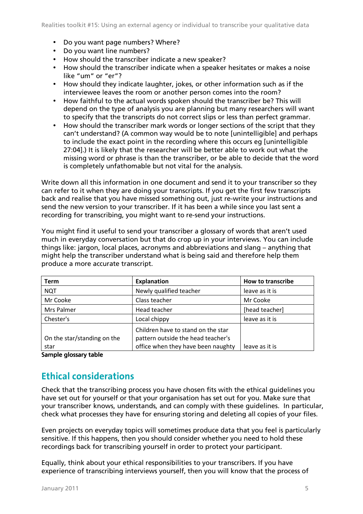- Do you want page numbers? Where?
- Do you want line numbers?
- How should the transcriber indicate a new speaker?
- How should the transcriber indicate when a speaker hesitates or makes a noise like "um" or "er"?
- How should they indicate laughter, jokes, or other information such as if the interviewee leaves the room or another person comes into the room?
- How faithful to the actual words spoken should the transcriber be? This will depend on the type of analysis you are planning but many researchers will want to specify that the transcripts do not correct slips or less than perfect grammar.
- How should the transcriber mark words or longer sections of the script that they can't understand? (A common way would be to note [unintelligible] and perhaps to include the exact point in the recording where this occurs eg [unintelligible 27:04].) It is likely that the researcher will be better able to work out what the missing word or phrase is than the transcriber, or be able to decide that the word is completely unfathomable but not vital for the analysis.

Write down all this information in one document and send it to your transcriber so they can refer to it when they are doing your transcripts. If you get the first few transcripts back and realise that you have missed something out, just re-write your instructions and send the new version to your transcriber. If it has been a while since you last sent a recording for transcribing, you might want to re-send your instructions.

You might find it useful to send your transcriber a glossary of words that aren't used much in everyday conversation but that do crop up in your interviews. You can include things like: jargon, local places, acronyms and abbreviations and slang – anything that might help the transcriber understand what is being said and therefore help them produce a more accurate transcript.

| <b>Term</b>                         | <b>Explanation</b>                                                                                             | <b>How to transcribe</b> |  |
|-------------------------------------|----------------------------------------------------------------------------------------------------------------|--------------------------|--|
| <b>NQT</b>                          | Newly qualified teacher                                                                                        | leave as it is           |  |
| Mr Cooke                            | Class teacher                                                                                                  | Mr Cooke                 |  |
| Mrs Palmer                          | Head teacher                                                                                                   | [head teacher]           |  |
| Chester's                           | Local chippy                                                                                                   | leave as it is           |  |
| On the star/standing on the<br>star | Children have to stand on the star<br>pattern outside the head teacher's<br>office when they have been naughty | leave as it is           |  |

Sample glossary table

#### **Ethical considerations**

Check that the transcribing process you have chosen fits with the ethical guidelines you have set out for yourself or that your organisation has set out for you. Make sure that your transcriber knows, understands, and can comply with these guidelines. In particular, check what processes they have for ensuring storing and deleting all copies of your files.

Even projects on everyday topics will sometimes produce data that you feel is particularly sensitive. If this happens, then you should consider whether you need to hold these recordings back for transcribing yourself in order to protect your participant.

Equally, think about your ethical responsibilities to your transcribers. If you have experience of transcribing interviews yourself, then you will know that the process of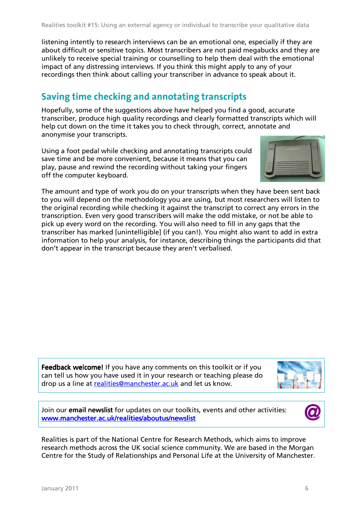listening intently to research interviews can be an emotional one, especially if they are about difficult or sensitive topics. Most transcribers are not paid megabucks and they are unlikely to receive special training or counselling to help them deal with the emotional impact of any distressing interviews. If you think this might apply to any of your recordings then think about calling your transcriber in advance to speak about it.

#### **Saving time checking and annotating transcripts**

Hopefully, some of the suggestions above have helped you find a good, accurate transcriber, produce high quality recordings and clearly formatted transcripts which will help cut down on the time it takes you to check through, correct, annotate and anonymise your transcripts.

Using a foot pedal while checking and annotating transcripts could save time and be more convenient, because it means that you can play, pause and rewind the recording without taking your fingers off the computer keyboard.



The amount and type of work you do on your transcripts when they have been sent back to you will depend on the methodology you are using, but most researchers will listen to the original recording while checking it against the transcript to correct any errors in the transcription. Even very good transcribers will make the odd mistake, or not be able to pick up every word on the recording. You will also need to fill in any gaps that the transcriber has marked [unintelligible] (if you can!). You might also want to add in extra information to help your analysis, for instance, describing things the participants did that don't appear in the transcript because they aren't verbalised.

Feedback welcome! If you have any comments on this toolkit or if you can tell us how you have used it in your research or teaching please do drop us a line at realities@manchester.ac.uk and let us know.



Join our email newslist for updates on our toolkits, events and other activities: www.manchester.ac.uk/realities/aboutus/newslist



Realities is part of the National Centre for Research Methods, which aims to improve research methods across the UK social science community. We are based in the Morgan Centre for the Study of Relationships and Personal Life at the University of Manchester.